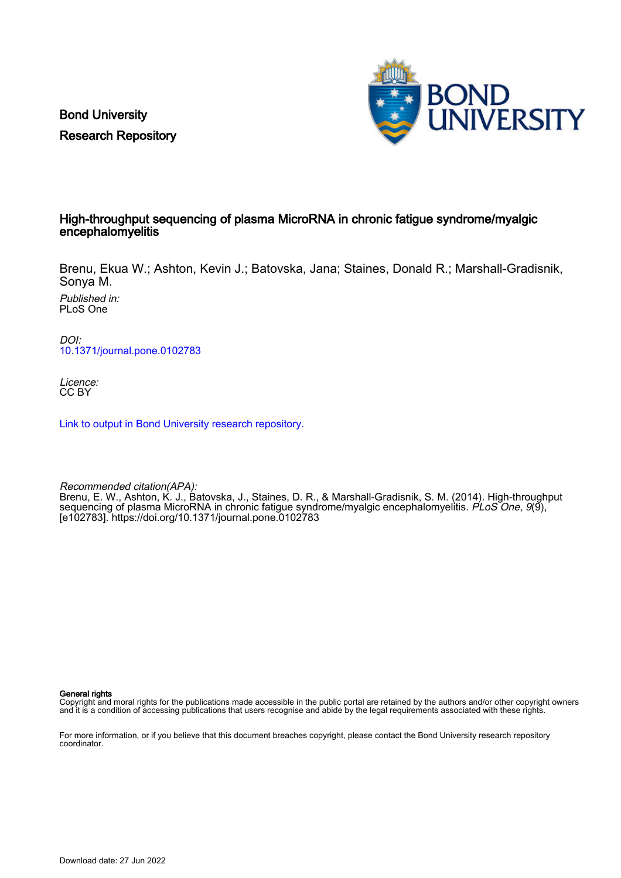Bond University Research Repository



# High-throughput sequencing of plasma MicroRNA in chronic fatigue syndrome/myalgic encephalomyelitis

Brenu, Ekua W.; Ashton, Kevin J.; Batovska, Jana; Staines, Donald R.; Marshall-Gradisnik, Sonya M.

Published in: PLoS One

DOI: [10.1371/journal.pone.0102783](https://doi.org/10.1371/journal.pone.0102783)

Licence: CC BY

[Link to output in Bond University research repository.](https://research.bond.edu.au/en/publications/5c1d72b4-0633-4f32-aebe-f0ab4cbda41a)

Recommended citation(APA): Brenu, E. W., Ashton, K. J., Batovska, J., Staines, D. R., & Marshall-Gradisnik, S. M. (2014). High-throughput sequencing of plasma MicroRNA in chronic fatigue syndrome/myalgic encephalomyelitis. PLoS One, 9(9), [e102783]. <https://doi.org/10.1371/journal.pone.0102783>

General rights

Copyright and moral rights for the publications made accessible in the public portal are retained by the authors and/or other copyright owners and it is a condition of accessing publications that users recognise and abide by the legal requirements associated with these rights.

For more information, or if you believe that this document breaches copyright, please contact the Bond University research repository coordinator.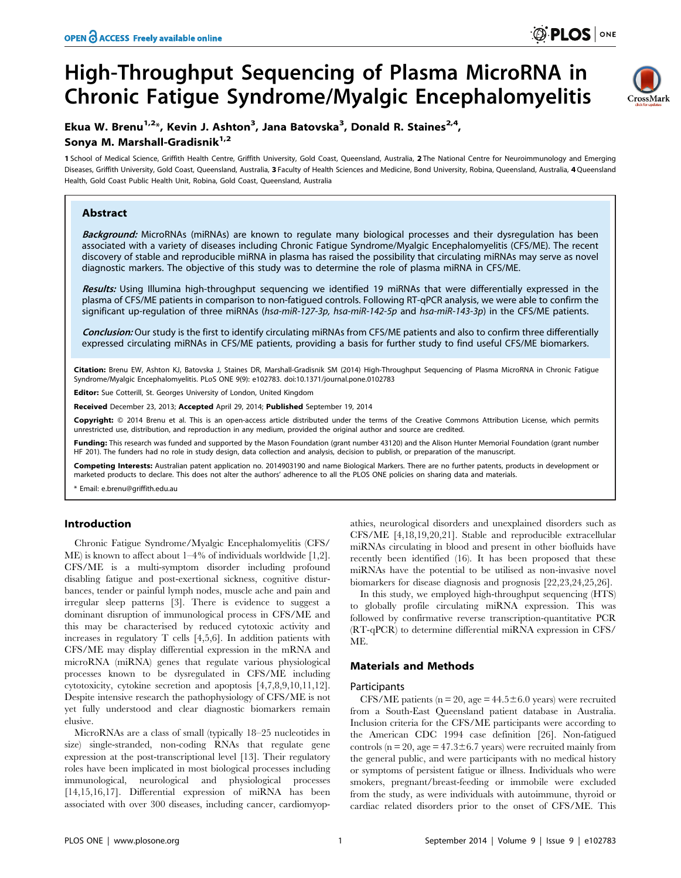# High-Throughput Sequencing of Plasma MicroRNA in Chronic Fatigue Syndrome/Myalgic Encephalomyelitis



# Ekua W. Brenu<sup>1,2</sup>\*, Kevin J. Ashton<sup>3</sup>, Jana Batovska<sup>3</sup>, Donald R. Staines<sup>2,4</sup>, Sonya M. Marshall-Gradisnik<sup>1,2</sup>

1 School of Medical Science, Griffith Health Centre, Griffith University, Gold Coast, Queensland, Australia, 2 The National Centre for Neuroimmunology and Emerging Diseases, Griffith University, Gold Coast, Queensland, Australia, 3 Faculty of Health Sciences and Medicine, Bond University, Robina, Queensland, Australia, 4 Queensland Health, Gold Coast Public Health Unit, Robina, Gold Coast, Queensland, Australia

# Abstract

Background: MicroRNAs (miRNAs) are known to regulate many biological processes and their dysregulation has been associated with a variety of diseases including Chronic Fatigue Syndrome/Myalgic Encephalomyelitis (CFS/ME). The recent discovery of stable and reproducible miRNA in plasma has raised the possibility that circulating miRNAs may serve as novel diagnostic markers. The objective of this study was to determine the role of plasma miRNA in CFS/ME.

Results: Using Illumina high-throughput sequencing we identified 19 miRNAs that were differentially expressed in the plasma of CFS/ME patients in comparison to non-fatigued controls. Following RT-qPCR analysis, we were able to confirm the significant up-regulation of three miRNAs (hsa-miR-127-3p, hsa-miR-142-5p and hsa-miR-143-3p) in the CFS/ME patients.

Conclusion: Our study is the first to identify circulating miRNAs from CFS/ME patients and also to confirm three differentially expressed circulating miRNAs in CFS/ME patients, providing a basis for further study to find useful CFS/ME biomarkers.

Citation: Brenu EW, Ashton KJ, Batovska J, Staines DR, Marshall-Gradisnik SM (2014) High-Throughput Sequencing of Plasma MicroRNA in Chronic Fatigue Syndrome/Myalgic Encephalomyelitis. PLoS ONE 9(9): e102783. doi:10.1371/journal.pone.0102783

Editor: Sue Cotterill, St. Georges University of London, United Kingdom

Received December 23, 2013; Accepted April 29, 2014; Published September 19, 2014

Copyright: © 2014 Brenu et al. This is an open-access article distributed under the terms of the [Creative Commons Attribution License](http://creativecommons.org/licenses/by/4.0/), which permits unrestricted use, distribution, and reproduction in any medium, provided the original author and source are credited.

Funding: This research was funded and supported by the Mason Foundation (grant number 43120) and the Alison Hunter Memorial Foundation (grant number HF 201). The funders had no role in study design, data collection and analysis, decision to publish, or preparation of the manuscript.

Competing Interests: Australian patent application no. 2014903190 and name Biological Markers. There are no further patents, products in development or marketed products to declare. This does not alter the authors' adherence to all the PLOS ONE policies on sharing data and materials.

\* Email: e.brenu@griffith.edu.au

## Introduction

Chronic Fatigue Syndrome/Myalgic Encephalomyelitis (CFS/ ME) is known to affect about 1–4% of individuals worldwide [1,2]. CFS/ME is a multi-symptom disorder including profound disabling fatigue and post-exertional sickness, cognitive disturbances, tender or painful lymph nodes, muscle ache and pain and irregular sleep patterns [3]. There is evidence to suggest a dominant disruption of immunological process in CFS/ME and this may be characterised by reduced cytotoxic activity and increases in regulatory T cells [4,5,6]. In addition patients with CFS/ME may display differential expression in the mRNA and microRNA (miRNA) genes that regulate various physiological processes known to be dysregulated in CFS/ME including cytotoxicity, cytokine secretion and apoptosis [4,7,8,9,10,11,12]. Despite intensive research the pathophysiology of CFS/ME is not yet fully understood and clear diagnostic biomarkers remain elusive.

MicroRNAs are a class of small (typically 18–25 nucleotides in size) single-stranded, non-coding RNAs that regulate gene expression at the post-transcriptional level [13]. Their regulatory roles have been implicated in most biological processes including immunological, neurological and physiological processes [14,15,16,17]. Differential expression of miRNA has been associated with over 300 diseases, including cancer, cardiomyopathies, neurological disorders and unexplained disorders such as CFS/ME [4,18,19,20,21]. Stable and reproducible extracellular miRNAs circulating in blood and present in other biofluids have recently been identified (16). It has been proposed that these miRNAs have the potential to be utilised as non-invasive novel biomarkers for disease diagnosis and prognosis [22,23,24,25,26].

In this study, we employed high-throughput sequencing (HTS) to globally profile circulating miRNA expression. This was followed by confirmative reverse transcription-quantitative PCR (RT-qPCR) to determine differential miRNA expression in CFS/ ME.

## Materials and Methods

#### **Participants**

CFS/ME patients ( $n = 20$ , age = 44.5 $\pm$ 6.0 years) were recruited from a South-East Queensland patient database in Australia. Inclusion criteria for the CFS/ME participants were according to the American CDC 1994 case definition [26]. Non-fatigued controls ( $n = 20$ , age = 47.3±6.7 years) were recruited mainly from the general public, and were participants with no medical history or symptoms of persistent fatigue or illness. Individuals who were smokers, pregnant/breast-feeding or immobile were excluded from the study, as were individuals with autoimmune, thyroid or cardiac related disorders prior to the onset of CFS/ME. This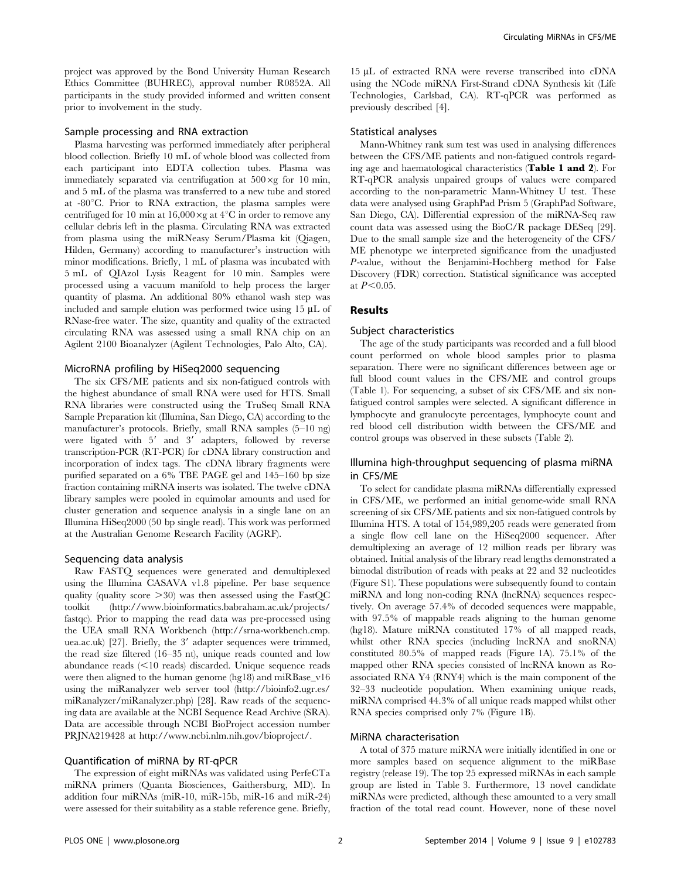project was approved by the Bond University Human Research Ethics Committee (BUHREC), approval number R0852A. All participants in the study provided informed and written consent prior to involvement in the study.

#### Sample processing and RNA extraction

Plasma harvesting was performed immediately after peripheral blood collection. Briefly 10 mL of whole blood was collected from each participant into EDTA collection tubes. Plasma was immediately separated via centrifugation at  $500 \times g$  for 10 min, and 5 mL of the plasma was transferred to a new tube and stored at  $-80^{\circ}$ C. Prior to RNA extraction, the plasma samples were centrifuged for 10 min at  $16,000 \times g$  at  $4^{\circ}$ C in order to remove any cellular debris left in the plasma. Circulating RNA was extracted from plasma using the miRNeasy Serum/Plasma kit (Qiagen, Hilden, Germany) according to manufacturer's instruction with minor modifications. Briefly, 1 mL of plasma was incubated with 5 mL of QIAzol Lysis Reagent for 10 min. Samples were processed using a vacuum manifold to help process the larger quantity of plasma. An additional 80% ethanol wash step was included and sample elution was performed twice using  $15 \mu L$  of RNase-free water. The size, quantity and quality of the extracted circulating RNA was assessed using a small RNA chip on an Agilent 2100 Bioanalyzer (Agilent Technologies, Palo Alto, CA).

#### MicroRNA profiling by HiSeq2000 sequencing

The six CFS/ME patients and six non-fatigued controls with the highest abundance of small RNA were used for HTS. Small RNA libraries were constructed using the TruSeq Small RNA Sample Preparation kit (Illumina, San Diego, CA) according to the manufacturer's protocols. Briefly, small RNA samples (5–10 ng) were ligated with 5' and 3' adapters, followed by reverse transcription-PCR (RT-PCR) for cDNA library construction and incorporation of index tags. The cDNA library fragments were purified separated on a 6% TBE PAGE gel and 145–160 bp size fraction containing miRNA inserts was isolated. The twelve cDNA library samples were pooled in equimolar amounts and used for cluster generation and sequence analysis in a single lane on an Illumina HiSeq2000 (50 bp single read). This work was performed at the Australian Genome Research Facility (AGRF).

#### Sequencing data analysis

Raw FASTQ sequences were generated and demultiplexed using the Illumina CASAVA v1.8 pipeline. Per base sequence quality (quality score  $>30$ ) was then assessed using the FastQC toolkit ([http://www.bioinformatics.babraham.ac.uk/projects/](http://www.bioinformatics.babraham.ac.uk/projects/fastqc) [fastqc\)](http://www.bioinformatics.babraham.ac.uk/projects/fastqc). Prior to mapping the read data was pre-processed using the UEA small RNA Workbench ([http://srna-workbench.cmp.](http://srna-workbench.cmp.uea.ac.uk) [uea.ac.uk](http://srna-workbench.cmp.uea.ac.uk)) [27]. Briefly, the 3' adapter sequences were trimmed, the read size filtered (16–35 nt), unique reads counted and low abundance reads  $\leq$ 10 reads) discarded. Unique sequence reads were then aligned to the human genome (hg18) and miRBase\_v16 using the miRanalyzer web server tool ([http://bioinfo2.ugr.es/](http://bioinfo2.ugr.es/miRanalyzer/miRanalyzer.php) [miRanalyzer/miRanalyzer.php\)](http://bioinfo2.ugr.es/miRanalyzer/miRanalyzer.php) [28]. Raw reads of the sequencing data are available at the NCBI Sequence Read Archive (SRA). Data are accessible through NCBI BioProject accession number PRJNA219428 at [http://www.ncbi.nlm.nih.gov/bioproject/.](http://www.ncbi.nlm.nih.gov/bioproject/)

#### Quantification of miRNA by RT-qPCR

The expression of eight miRNAs was validated using PerfeCTa miRNA primers (Quanta Biosciences, Gaithersburg, MD). In addition four miRNAs (miR-10, miR-15b, miR-16 and miR-24) were assessed for their suitability as a stable reference gene. Briefly,

15 mL of extracted RNA were reverse transcribed into cDNA using the NCode miRNA First-Strand cDNA Synthesis kit (Life Technologies, Carlsbad, CA). RT-qPCR was performed as previously described [4].

#### Statistical analyses

Mann-Whitney rank sum test was used in analysing differences between the CFS/ME patients and non-fatigued controls regarding age and haematological characteristics (Table 1 and 2). For RT-qPCR analysis unpaired groups of values were compared according to the non-parametric Mann-Whitney U test. These data were analysed using GraphPad Prism 5 (GraphPad Software, San Diego, CA). Differential expression of the miRNA-Seq raw count data was assessed using the BioC/R package DESeq [29]. Due to the small sample size and the heterogeneity of the CFS/ ME phenotype we interpreted significance from the unadjusted P-value, without the Benjamini-Hochberg method for False Discovery (FDR) correction. Statistical significance was accepted at  $P<0.05$ .

#### Results

#### Subject characteristics

The age of the study participants was recorded and a full blood count performed on whole blood samples prior to plasma separation. There were no significant differences between age or full blood count values in the CFS/ME and control groups (Table 1). For sequencing, a subset of six CFS/ME and six nonfatigued control samples were selected. A significant difference in lymphocyte and granulocyte percentages, lymphocyte count and red blood cell distribution width between the CFS/ME and control groups was observed in these subsets (Table 2).

### Illumina high-throughput sequencing of plasma miRNA in CFS/ME

To select for candidate plasma miRNAs differentially expressed in CFS/ME, we performed an initial genome-wide small RNA screening of six CFS/ME patients and six non-fatigued controls by Illumina HTS. A total of 154,989,205 reads were generated from a single flow cell lane on the HiSeq2000 sequencer. After demultiplexing an average of 12 million reads per library was obtained. Initial analysis of the library read lengths demonstrated a bimodal distribution of reads with peaks at 22 and 32 nucleotides (Figure S1). These populations were subsequently found to contain miRNA and long non-coding RNA (lncRNA) sequences respectively. On average 57.4% of decoded sequences were mappable, with 97.5% of mappable reads aligning to the human genome (hg18). Mature miRNA constituted 17% of all mapped reads, whilst other RNA species (including lncRNA and snoRNA) constituted 80.5% of mapped reads (Figure 1A). 75.1% of the mapped other RNA species consisted of lncRNA known as Roassociated RNA Y4 (RNY4) which is the main component of the 32–33 nucleotide population. When examining unique reads, miRNA comprised 44.3% of all unique reads mapped whilst other RNA species comprised only 7% (Figure 1B).

#### MiRNA characterisation

A total of 375 mature miRNA were initially identified in one or more samples based on sequence alignment to the miRBase registry (release 19). The top 25 expressed miRNAs in each sample group are listed in Table 3. Furthermore, 13 novel candidate miRNAs were predicted, although these amounted to a very small fraction of the total read count. However, none of these novel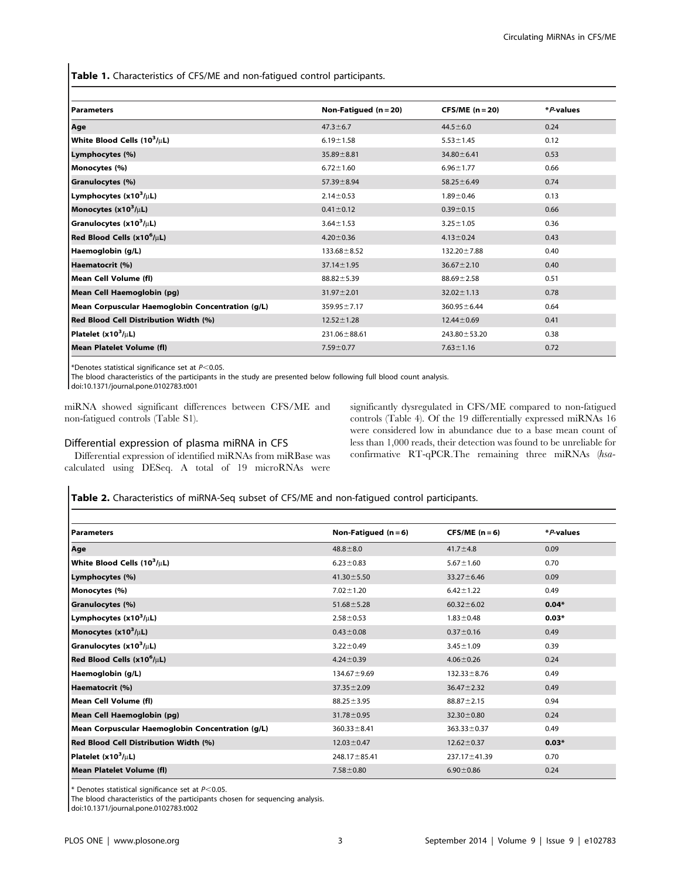Table 1. Characteristics of CFS/ME and non-fatigued control participants.

| <b>Parameters</b>                                | Non-Fatigued $(n = 20)$ | $CFS/ME (n=20)$   | *P-values |
|--------------------------------------------------|-------------------------|-------------------|-----------|
| Age                                              | $47.3 \pm 6.7$          | $44.5 \pm 6.0$    | 0.24      |
| White Blood Cells $(10^3/\mu L)$                 | $6.19 \pm 1.58$         | $5.53 \pm 1.45$   | 0.12      |
| Lymphocytes (%)                                  | $35.89 \pm 8.81$        | $34.80 \pm 6.41$  | 0.53      |
| Monocytes (%)                                    | $6.72 \pm 1.60$         | $6.96 \pm 1.77$   | 0.66      |
| Granulocytes (%)                                 | $57.39 \pm 8.94$        | $58.25 \pm 6.49$  | 0.74      |
| Lymphocytes $(x10^3/\mu L)$                      | $2.14 \pm 0.53$         | $1.89 \pm 0.46$   | 0.13      |
| Monocytes $(x10^3/\mu L)$                        | $0.41 \pm 0.12$         | $0.39 \pm 0.15$   | 0.66      |
| Granulocytes $(x10^3/\mu L)$                     | $3.64 \pm 1.53$         | $3.25 \pm 1.05$   | 0.36      |
| Red Blood Cells $(x10^6/\mu L)$                  | $4.20 \pm 0.36$         | $4.13 \pm 0.24$   | 0.43      |
| Haemoglobin (g/L)                                | $133.68 \pm 8.52$       | 132.20 ± 7.88     | 0.40      |
| Haematocrit (%)                                  | $37.14 \pm 1.95$        | $36.67 \pm 2.10$  | 0.40      |
| Mean Cell Volume (fl)                            | $88.82 \pm 5.39$        | $88.69 \pm 2.58$  | 0.51      |
| Mean Cell Haemoglobin (pg)                       | $31.97 \pm 2.01$        | $32.02 \pm 1.13$  | 0.78      |
| Mean Corpuscular Haemoglobin Concentration (g/L) | $359.95 \pm 7.17$       | $360.95 \pm 6.44$ | 0.64      |
| Red Blood Cell Distribution Width (%)            | $12.52 \pm 1.28$        | $12.44 \pm 0.69$  | 0.41      |
| Platelet $(x10^3/\mu L)$                         | $231.06 \pm 88.61$      | 243.80 ± 53.20    | 0.38      |
| <b>Mean Platelet Volume (fl)</b>                 | $7.59 \pm 0.77$         | $7.63 \pm 1.16$   | 0.72      |

\*Denotes statistical significance set at  $P<0.05$ .

The blood characteristics of the participants in the study are presented below following full blood count analysis.

doi:10.1371/journal.pone.0102783.t001

miRNA showed significant differences between CFS/ME and non-fatigued controls (Table S1).

#### Differential expression of plasma miRNA in CFS

Differential expression of identified miRNAs from miRBase was calculated using DESeq. A total of 19 microRNAs were significantly dysregulated in CFS/ME compared to non-fatigued controls (Table 4). Of the 19 differentially expressed miRNAs 16 were considered low in abundance due to a base mean count of less than 1,000 reads, their detection was found to be unreliable for confirmative RT-qPCR.The remaining three miRNAs (hsa-

Table 2. Characteristics of miRNA-Seq subset of CFS/ME and non-fatigued control participants.

| <b>Parameters</b>                                | Non-Fatigued $(n=6)$ | $CFS/ME (n=6)$    | *P-values |
|--------------------------------------------------|----------------------|-------------------|-----------|
| Age                                              | $48.8 \pm 8.0$       | $41.7 \pm 4.8$    | 0.09      |
| White Blood Cells $(10^3/\mu L)$                 | $6.23 \pm 0.83$      | $5.67 \pm 1.60$   | 0.70      |
| Lymphocytes (%)                                  | $41.30 \pm 5.50$     | $33.27 \pm 6.46$  | 0.09      |
| Monocytes (%)                                    | $7.02 \pm 1.20$      | $6.42 \pm 1.22$   | 0.49      |
| Granulocytes (%)                                 | $51.68 \pm 5.28$     | $60.32 \pm 6.02$  | $0.04*$   |
| Lymphocytes $(x10^3/\mu L)$                      | $2.58 \pm 0.53$      | $1.83 \pm 0.48$   | $0.03*$   |
| Monocytes $(x10^3/\mu L)$                        | $0.43 \pm 0.08$      | $0.37 \pm 0.16$   | 0.49      |
| Granulocytes $(x10^3/\mu L)$                     | $3.22 \pm 0.49$      | $3.45 \pm 1.09$   | 0.39      |
| Red Blood Cells $(x10^6/\mu L)$                  | $4.24 \pm 0.39$      | $4.06 \pm 0.26$   | 0.24      |
| Haemoglobin (g/L)                                | $134.67 \pm 9.69$    | $132.33 \pm 8.76$ | 0.49      |
| Haematocrit (%)                                  | $37.35 \pm 2.09$     | $36.47 \pm 2.32$  | 0.49      |
| Mean Cell Volume (fl)                            | $88.25 \pm 3.95$     | $88.87 \pm 2.15$  | 0.94      |
| Mean Cell Haemoglobin (pg)                       | $31.78 \pm 0.95$     | $32.30 \pm 0.80$  | 0.24      |
| Mean Corpuscular Haemoglobin Concentration (g/L) | $360.33 \pm 8.41$    | $363.33 \pm 0.37$ | 0.49      |
| Red Blood Cell Distribution Width (%)            | $12.03 \pm 0.47$     | $12.62 \pm 0.37$  | $0.03*$   |
| Platelet $(x10^3/\mu L)$                         | $248.17 \pm 85.41$   | 237.17 ±41.39     | 0.70      |
| <b>Mean Platelet Volume (fl)</b>                 | $7.58 \pm 0.80$      | $6.90 \pm 0.86$   | 0.24      |
|                                                  |                      |                   |           |

 $*$  Denotes statistical significance set at  $P<0.05$ .

The blood characteristics of the participants chosen for sequencing analysis.

doi:10.1371/journal.pone.0102783.t002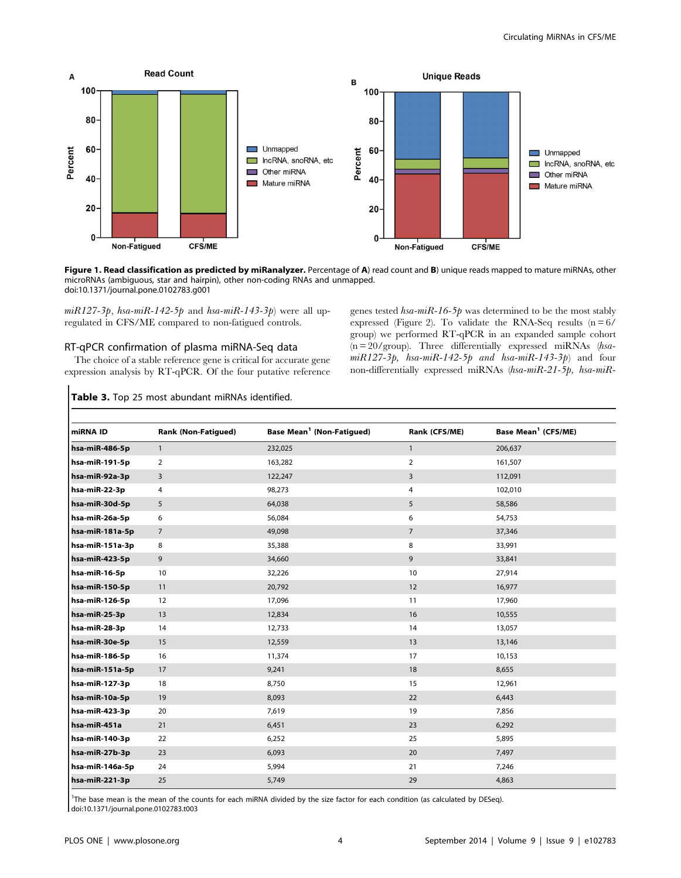

Figure 1. Read classification as predicted by miRanalyzer. Percentage of A) read count and B) unique reads mapped to mature miRNAs, other microRNAs (ambiguous, star and hairpin), other non-coding RNAs and unmapped. doi:10.1371/journal.pone.0102783.g001

 $miR127-3p$ , hsa-miR-142-5p and hsa-miR-143-3p) were all upregulated in CFS/ME compared to non-fatigued controls.

#### RT-qPCR confirmation of plasma miRNA-Seq data

The choice of a stable reference gene is critical for accurate gene expression analysis by RT-qPCR. Of the four putative reference genes tested  $hsa\text{-}miR\text{-}16\text{-}5p$  was determined to be the most stably expressed (Figure 2). To validate the RNA-Seq results  $(n=6)$ group) we performed RT-qPCR in an expanded sample cohort (n = 20/group). Three differentially expressed miRNAs (hsa $miR127-3p$ , hsa-miR-142-5p and hsa-miR-143-3p) and four non-differentially expressed miRNAs (hsa-miR-21-5p, hsa-miR-

#### Table 3. Top 25 most abundant miRNAs identified.

| miRNA ID        | <b>Rank (Non-Fatigued)</b> | Base Mean <sup>1</sup> (Non-Fatigued) | Rank (CFS/ME)  | Base Mean <sup>1</sup> (CFS/ME) |
|-----------------|----------------------------|---------------------------------------|----------------|---------------------------------|
| hsa-miR-486-5p  | $\overline{1}$             | 232,025                               | $\mathbf{1}$   | 206,637                         |
| hsa-miR-191-5p  | 2                          | 163,282                               | $\overline{2}$ | 161,507                         |
| hsa-miR-92a-3p  | 3                          | 122,247                               | $\overline{3}$ | 112,091                         |
| hsa-miR-22-3p   | 4                          | 98,273                                | 4              | 102,010                         |
| hsa-miR-30d-5p  | 5                          | 64,038                                | 5              | 58,586                          |
| hsa-miR-26a-5p  | 6                          | 56,084                                | 6              | 54,753                          |
| hsa-miR-181a-5p | 7                          | 49,098                                | $\overline{7}$ | 37,346                          |
| hsa-miR-151a-3p | 8                          | 35,388                                | 8              | 33,991                          |
| hsa-miR-423-5p  | 9                          | 34,660                                | 9              | 33,841                          |
| hsa-miR-16-5p   | 10                         | 32,226                                | 10             | 27,914                          |
| hsa-miR-150-5p  | 11                         | 20,792                                | 12             | 16,977                          |
| hsa-miR-126-5p  | 12                         | 17,096                                | 11             | 17,960                          |
| hsa-miR-25-3p   | 13                         | 12,834                                | 16             | 10,555                          |
| hsa-miR-28-3p   | 14                         | 12,733                                | 14             | 13,057                          |
| hsa-miR-30e-5p  | 15                         | 12,559                                | 13             | 13,146                          |
| hsa-miR-186-5p  | 16                         | 11,374                                | 17             | 10,153                          |
| hsa-miR-151a-5p | 17                         | 9,241                                 | 18             | 8,655                           |
| hsa-miR-127-3p  | 18                         | 8,750                                 | 15             | 12,961                          |
| hsa-miR-10a-5p  | 19                         | 8,093                                 | 22             | 6,443                           |
| hsa-miR-423-3p  | 20                         | 7,619                                 | 19             | 7,856                           |
| hsa-miR-451a    | 21                         | 6,451                                 | 23             | 6,292                           |
| hsa-miR-140-3p  | 22                         | 6,252                                 | 25             | 5,895                           |
| hsa-miR-27b-3p  | 23                         | 6,093                                 | 20             | 7,497                           |
| hsa-miR-146a-5p | 24                         | 5,994                                 | 21             | 7,246                           |
| hsa-miR-221-3p  | 25                         | 5,749                                 | 29             | 4,863                           |

1 The base mean is the mean of the counts for each miRNA divided by the size factor for each condition (as calculated by DESeq). doi:10.1371/journal.pone.0102783.t003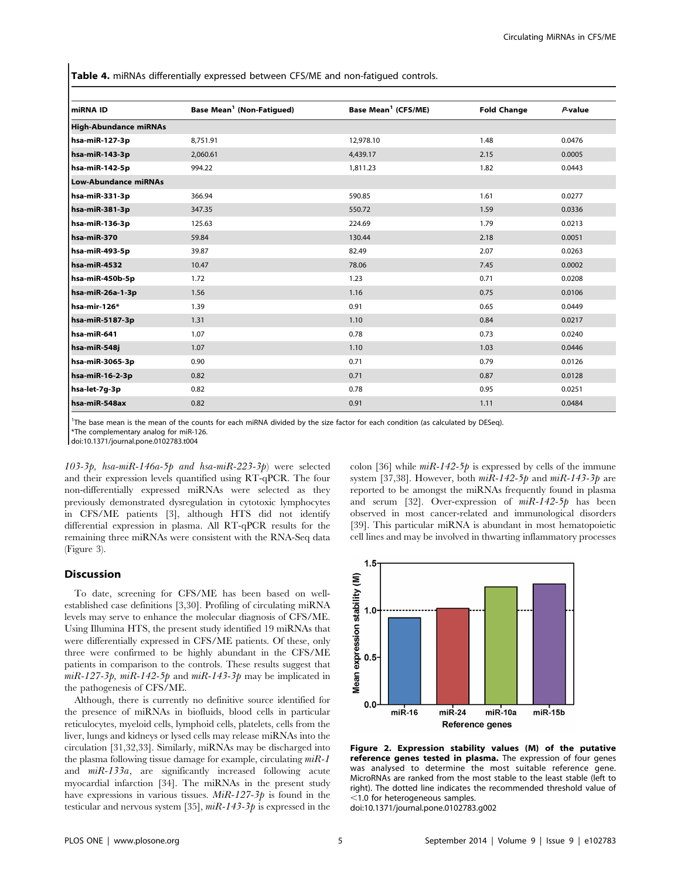Table 4. miRNAs differentially expressed between CFS/ME and non-fatigued controls.

| miRNA ID                     | Base Mean <sup>1</sup> (Non-Fatigued) | Base Mean <sup>1</sup> (CFS/ME) | <b>Fold Change</b> | P-value |  |
|------------------------------|---------------------------------------|---------------------------------|--------------------|---------|--|
| <b>High-Abundance miRNAs</b> |                                       |                                 |                    |         |  |
| hsa-miR-127-3p               | 8,751.91                              | 12,978.10                       | 1.48               | 0.0476  |  |
| hsa-miR-143-3p               | 2,060.61                              | 4,439.17                        | 2.15               | 0.0005  |  |
| hsa-miR-142-5p               | 994.22                                | 1,811.23                        | 1.82               | 0.0443  |  |
| <b>Low-Abundance miRNAs</b>  |                                       |                                 |                    |         |  |
| hsa-miR-331-3p               | 366.94                                | 590.85                          | 1.61               | 0.0277  |  |
| hsa-miR-381-3p               | 347.35                                | 550.72                          | 1.59               | 0.0336  |  |
| hsa-miR-136-3p               | 125.63                                | 224.69                          | 1.79               | 0.0213  |  |
| hsa-miR-370                  | 59.84                                 | 130.44                          | 2.18               | 0.0051  |  |
| hsa-miR-493-5p               | 39.87                                 | 82.49                           | 2.07               | 0.0263  |  |
| hsa-miR-4532                 | 10.47                                 | 78.06                           | 7.45               | 0.0002  |  |
| hsa-miR-450b-5p              | 1.72                                  | 1.23                            | 0.71               | 0.0208  |  |
| hsa-miR-26a-1-3p             | 1.56                                  | 1.16                            | 0.75               | 0.0106  |  |
| hsa-mir-126*                 | 1.39                                  | 0.91                            | 0.65               | 0.0449  |  |
| hsa-miR-5187-3p              | 1.31                                  | 1.10                            | 0.84               | 0.0217  |  |
| hsa-miR-641                  | 1.07                                  | 0.78                            | 0.73               | 0.0240  |  |
| hsa-miR-548j                 | 1.07                                  | 1.10                            | 1.03               | 0.0446  |  |
| hsa-miR-3065-3p              | 0.90                                  | 0.71                            | 0.79               | 0.0126  |  |
| hsa-miR-16-2-3p              | 0.82                                  | 0.71                            | 0.87               | 0.0128  |  |
| hsa-let-7g-3p                | 0.82                                  | 0.78                            | 0.95               | 0.0251  |  |
| hsa-miR-548ax                | 0.82                                  | 0.91                            | 1.11               | 0.0484  |  |

1 The base mean is the mean of the counts for each miRNA divided by the size factor for each condition (as calculated by DESeq).

\*The complementary analog for miR-126.

doi:10.1371/journal.pone.0102783.t004

103-3p, hsa-miR-146a-5p and hsa-miR-223-3p) were selected and their expression levels quantified using RT-qPCR. The four non-differentially expressed miRNAs were selected as they previously demonstrated dysregulation in cytotoxic lymphocytes in CFS/ME patients [3], although HTS did not identify differential expression in plasma. All RT-qPCR results for the remaining three miRNAs were consistent with the RNA-Seq data (Figure 3).

#### Discussion

To date, screening for CFS/ME has been based on wellestablished case definitions [3,30]. Profiling of circulating miRNA levels may serve to enhance the molecular diagnosis of CFS/ME. Using Illumina HTS, the present study identified 19 miRNAs that were differentially expressed in CFS/ME patients. Of these, only three were confirmed to be highly abundant in the CFS/ME patients in comparison to the controls. These results suggest that  $miR-127-3p$ ,  $miR-142-5p$  and  $miR-143-3p$  may be implicated in the pathogenesis of CFS/ME.

Although, there is currently no definitive source identified for the presence of miRNAs in biofluids, blood cells in particular reticulocytes, myeloid cells, lymphoid cells, platelets, cells from the liver, lungs and kidneys or lysed cells may release miRNAs into the circulation [31,32,33]. Similarly, miRNAs may be discharged into the plasma following tissue damage for example, circulating  $mR-1$ and miR-133a, are significantly increased following acute myocardial infarction [34]. The miRNAs in the present study have expressions in various tissues.  $MiR-127-3p$  is found in the testicular and nervous system [35],  $miR-143-3p$  is expressed in the

colon [36] while  $mR-142-5p$  is expressed by cells of the immune system [37,38]. However, both  $mR-142-5p$  and  $mR-143-3p$  are reported to be amongst the miRNAs frequently found in plasma and serum [32]. Over-expression of miR-142-5p has been observed in most cancer-related and immunological disorders [39]. This particular miRNA is abundant in most hematopoietic cell lines and may be involved in thwarting inflammatory processes



Figure 2. Expression stability values (M) of the putative reference genes tested in plasma. The expression of four genes was analysed to determine the most suitable reference gene. MicroRNAs are ranked from the most stable to the least stable (left to right). The dotted line indicates the recommended threshold value of  $<$ 1.0 for heterogeneous samples. doi:10.1371/journal.pone.0102783.g002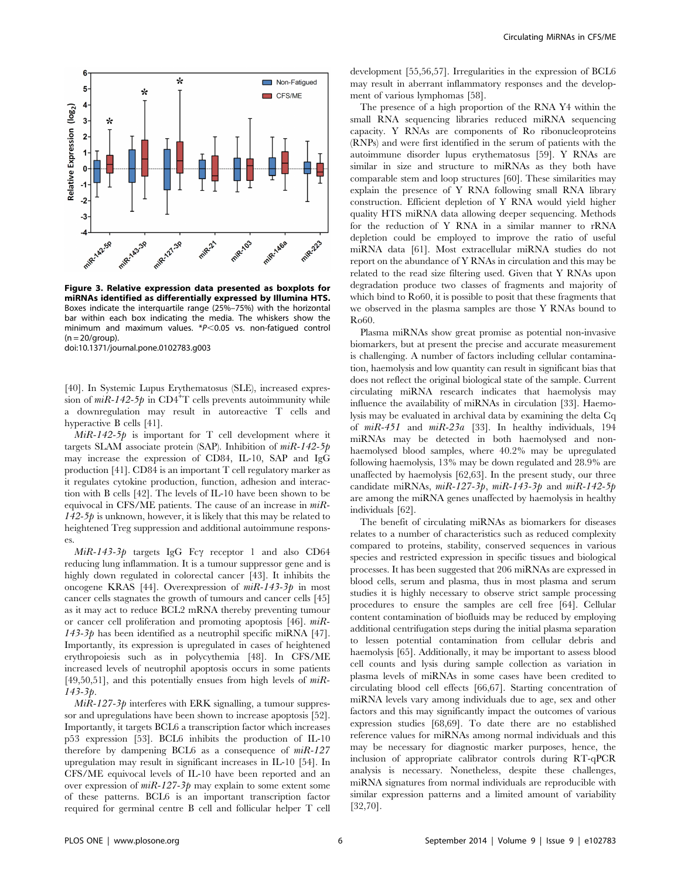

Figure 3. Relative expression data presented as boxplots for miRNAs identified as differentially expressed by Illumina HTS. Boxes indicate the interquartile range (25%–75%) with the horizontal bar within each box indicating the media. The whiskers show the minimum and maximum values.  $*P<0.05$  vs. non-fatigued control  $(n = 20/$ group).

doi:10.1371/journal.pone.0102783.g003

[40]. In Systemic Lupus Erythematosus (SLE), increased expression of  $mR-142-5p$  in CD4<sup>+</sup>T cells prevents autoimmunity while a downregulation may result in autoreactive T cells and hyperactive B cells [41].

 $MiR-142-5p$  is important for T cell development where it targets SLAM associate protein (SAP). Inhibition of  $mR-142-5p$ may increase the expression of CD84, IL-10, SAP and IgG production [41]. CD84 is an important T cell regulatory marker as it regulates cytokine production, function, adhesion and interaction with B cells [42]. The levels of IL-10 have been shown to be equivocal in CFS/ME patients. The cause of an increase in  $m\ddot{R}$ - $142-5p$  is unknown, however, it is likely that this may be related to heightened Treg suppression and additional autoimmune responses.

 $MiR-143-3p$  targets IgG Fc $\gamma$  receptor 1 and also CD64 reducing lung inflammation. It is a tumour suppressor gene and is highly down regulated in colorectal cancer [43]. It inhibits the oncogene KRAS [44]. Overexpression of  $mR-143-3p$  in most cancer cells stagnates the growth of tumours and cancer cells [45] as it may act to reduce BCL2 mRNA thereby preventing tumour or cancer cell proliferation and promoting apoptosis [46]. miR-143-3 $p$  has been identified as a neutrophil specific miRNA [47]. Importantly, its expression is upregulated in cases of heightened erythropoiesis such as in polycythemia [48]. In CFS/ME increased levels of neutrophil apoptosis occurs in some patients [49,50,51], and this potentially ensues from high levels of  $m\ddot{\ }$ R-143-3p.

 $MiR-127-3p$  interferes with ERK signalling, a tumour suppressor and upregulations have been shown to increase apoptosis [52]. Importantly, it targets BCL6 a transcription factor which increases p53 expression [53]. BCL6 inhibits the production of IL-10 therefore by dampening BCL6 as a consequence of  $miR-127$ upregulation may result in significant increases in IL-10 [54]. In CFS/ME equivocal levels of IL-10 have been reported and an over expression of  $mR-127-3p$  may explain to some extent some of these patterns. BCL6 is an important transcription factor required for germinal centre B cell and follicular helper T cell development [55,56,57]. Irregularities in the expression of BCL6 may result in aberrant inflammatory responses and the development of various lymphomas [58].

The presence of a high proportion of the RNA Y4 within the small RNA sequencing libraries reduced miRNA sequencing capacity. Y RNAs are components of Ro ribonucleoproteins (RNPs) and were first identified in the serum of patients with the autoimmune disorder lupus erythematosus [59]. Y RNAs are similar in size and structure to miRNAs as they both have comparable stem and loop structures [60]. These similarities may explain the presence of Y RNA following small RNA library construction. Efficient depletion of Y RNA would yield higher quality HTS miRNA data allowing deeper sequencing. Methods for the reduction of Y RNA in a similar manner to rRNA depletion could be employed to improve the ratio of useful miRNA data [61]. Most extracellular miRNA studies do not report on the abundance of Y RNAs in circulation and this may be related to the read size filtering used. Given that Y RNAs upon degradation produce two classes of fragments and majority of which bind to Ro60, it is possible to posit that these fragments that we observed in the plasma samples are those Y RNAs bound to Ro60.

Plasma miRNAs show great promise as potential non-invasive biomarkers, but at present the precise and accurate measurement is challenging. A number of factors including cellular contamination, haemolysis and low quantity can result in significant bias that does not reflect the original biological state of the sample. Current circulating miRNA research indicates that haemolysis may influence the availability of miRNAs in circulation [33]. Haemolysis may be evaluated in archival data by examining the delta Cq of miR-451 and miR-23a [33]. In healthy individuals, 194 miRNAs may be detected in both haemolysed and nonhaemolysed blood samples, where 40.2% may be upregulated following haemolysis, 13% may be down regulated and 28.9% are unaffected by haemolysis [62,63]. In the present study, our three candidate miRNAs,  $miR-127-3p$ ,  $miR-143-3p$  and  $miR-142-5p$ are among the miRNA genes unaffected by haemolysis in healthy individuals [62].

The benefit of circulating miRNAs as biomarkers for diseases relates to a number of characteristics such as reduced complexity compared to proteins, stability, conserved sequences in various species and restricted expression in specific tissues and biological processes. It has been suggested that 206 miRNAs are expressed in blood cells, serum and plasma, thus in most plasma and serum studies it is highly necessary to observe strict sample processing procedures to ensure the samples are cell free [64]. Cellular content contamination of biofluids may be reduced by employing additional centrifugation steps during the initial plasma separation to lessen potential contamination from cellular debris and haemolysis [65]. Additionally, it may be important to assess blood cell counts and lysis during sample collection as variation in plasma levels of miRNAs in some cases have been credited to circulating blood cell effects [66,67]. Starting concentration of miRNA levels vary among individuals due to age, sex and other factors and this may significantly impact the outcomes of various expression studies [68,69]. To date there are no established reference values for miRNAs among normal individuals and this may be necessary for diagnostic marker purposes, hence, the inclusion of appropriate calibrator controls during RT-qPCR analysis is necessary. Nonetheless, despite these challenges, miRNA signatures from normal individuals are reproducible with similar expression patterns and a limited amount of variability [32,70].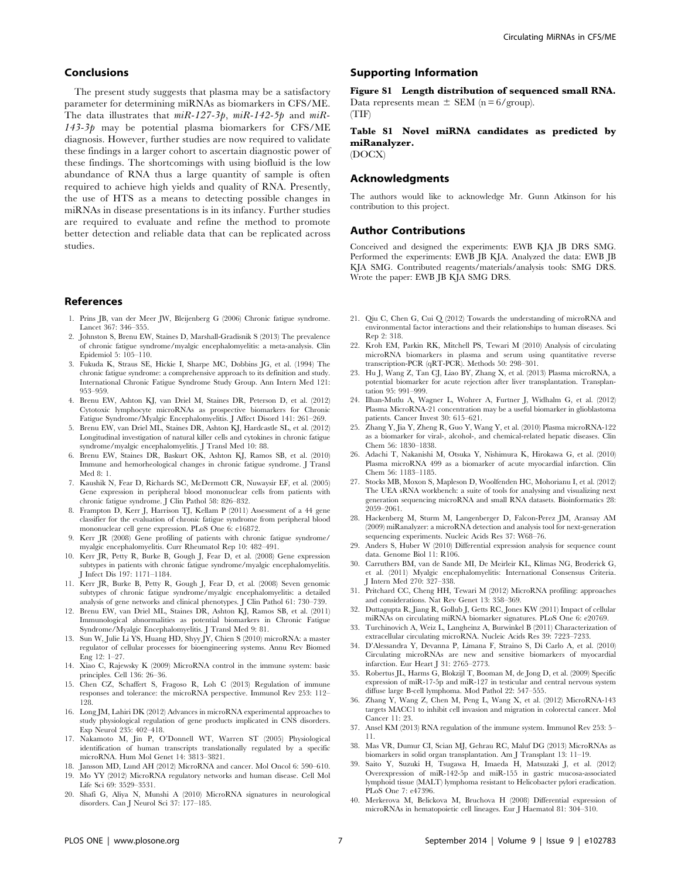#### Conclusions

The present study suggests that plasma may be a satisfactory parameter for determining miRNAs as biomarkers in CFS/ME. The data illustrates that  $miR-127-3p$ ,  $miR-142-5p$  and  $miR 143-3p$  may be potential plasma biomarkers for CFS/ME diagnosis. However, further studies are now required to validate these findings in a larger cohort to ascertain diagnostic power of these findings. The shortcomings with using biofluid is the low abundance of RNA thus a large quantity of sample is often required to achieve high yields and quality of RNA. Presently, the use of HTS as a means to detecting possible changes in miRNAs in disease presentations is in its infancy. Further studies are required to evaluate and refine the method to promote better detection and reliable data that can be replicated across studies.

#### References

- 1. Prins JB, van der Meer JW, Bleijenberg G (2006) Chronic fatigue syndrome. Lancet 367: 346–355.
- 2. Johnston S, Brenu EW, Staines D, Marshall-Gradisnik S (2013) The prevalence of chronic fatigue syndrome/myalgic encephalomyelitis: a meta-analysis. Clin Epidemiol 5: 105–110.
- 3. Fukuda K, Straus SE, Hickie I, Sharpe MC, Dobbins JG, et al. (1994) The chronic fatigue syndrome: a comprehensive approach to its definition and study. International Chronic Fatigue Syndrome Study Group. Ann Intern Med 121: 953–959.
- 4. Brenu EW, Ashton KJ, van Driel M, Staines DR, Peterson D, et al. (2012) Cytotoxic lymphocyte microRNAs as prospective biomarkers for Chronic Fatigue Syndrome/Myalgic Encephalomyelitis. J Affect Disord 141: 261–269.
- 5. Brenu EW, van Driel ML, Staines DR, Ashton KJ, Hardcastle SL, et al. (2012) Longitudinal investigation of natural killer cells and cytokines in chronic fatigue syndrome/myalgic encephalomyelitis. J Transl Med 10: 88.
- 6. Brenu EW, Staines DR, Baskurt OK, Ashton KJ, Ramos SB, et al. (2010) Immune and hemorheological changes in chronic fatigue syndrome. J Transl Med 8: 1.
- 7. Kaushik N, Fear D, Richards SC, McDermott CR, Nuwaysir EF, et al. (2005) Gene expression in peripheral blood mononuclear cells from patients with chronic fatigue syndrome. J Clin Pathol 58: 826–832.
- 8. Frampton D, Kerr J, Harrison TJ, Kellam P (2011) Assessment of a 44 gene classifier for the evaluation of chronic fatigue syndrome from peripheral blood mononuclear cell gene expression. PLoS One 6: e16872.
- 9. Kerr JR (2008) Gene profiling of patients with chronic fatigue syndrome/ myalgic encephalomyelitis. Curr Rheumatol Rep 10: 482–491.
- 10. Kerr JR, Petty R, Burke B, Gough J, Fear D, et al. (2008) Gene expression subtypes in patients with chronic fatigue syndrome/myalgic encephalomyelitis. J Infect Dis 197: 1171–1184.
- 11. Kerr JR, Burke B, Petty R, Gough J, Fear D, et al. (2008) Seven genomic subtypes of chronic fatigue syndrome/myalgic encephalomyelitis: a detailed analysis of gene networks and clinical phenotypes. J Clin Pathol 61: 730–739.
- 12. Brenu EW, van Driel ML, Staines DR, Ashton KJ, Ramos SB, et al. (2011) Immunological abnormalities as potential biomarkers in Chronic Fatigue Syndrome/Myalgic Encephalomyelitis. J Transl Med 9: 81.
- 13. Sun W, Julie Li YS, Huang HD, Shyy JY, Chien S (2010) microRNA: a master regulator of cellular processes for bioengineering systems. Annu Rev Biomed Eng 12: 1–27.
- 14. Xiao C, Rajewsky K (2009) MicroRNA control in the immune system: basic principles. Cell 136: 26–36.
- 15. Chen CZ, Schaffert S, Fragoso R, Loh C (2013) Regulation of immune responses and tolerance: the microRNA perspective. Immunol Rev 253: 112– 128.
- 16. Long JM, Lahiri DK (2012) Advances in microRNA experimental approaches to study physiological regulation of gene products implicated in CNS disorders. Exp Neurol 235: 402–418.
- 17. Nakamoto M, Jin P, O'Donnell WT, Warren ST (2005) Physiological identification of human transcripts translationally regulated by a specific microRNA. Hum Mol Genet 14: 3813–3821.
- 18. Jansson MD, Lund AH (2012) MicroRNA and cancer. Mol Oncol 6: 590–610. 19. Mo YY (2012) MicroRNA regulatory networks and human disease. Cell Mol Life Sci 69: 3529–3531.
- 20. Shafi G, Aliya N, Munshi A (2010) MicroRNA signatures in neurological disorders. Can J Neurol Sci 37: 177–185.

#### Supporting Information

Figure S1 Length distribution of sequenced small RNA. Data represents mean  $\pm$  SEM (n = 6/group).

(TIF)

Table S1 Novel miRNA candidates as predicted by miRanalyzer.

(DOCX)

#### Acknowledgments

The authors would like to acknowledge Mr. Gunn Atkinson for his contribution to this project.

#### Author Contributions

Conceived and designed the experiments: EWB KJA JB DRS SMG. Performed the experiments: EWB JB KJA. Analyzed the data: EWB JB KJA SMG. Contributed reagents/materials/analysis tools: SMG DRS. Wrote the paper: EWB JB KJA SMG DRS.

- 21. Qiu C, Chen G, Cui Q (2012) Towards the understanding of microRNA and environmental factor interactions and their relationships to human diseases. Sci Rep 2: 318.
- 22. Kroh EM, Parkin RK, Mitchell PS, Tewari M (2010) Analysis of circulating microRNA biomarkers in plasma and serum using quantitative reverse transcription-PCR (qRT-PCR). Methods 50: 298–301.
- 23. Hu J, Wang Z, Tan CJ, Liao BY, Zhang X, et al. (2013) Plasma microRNA, a potential biomarker for acute rejection after liver transplantation. Transplantation 95: 991–999.
- 24. Ilhan-Mutlu A, Wagner L, Wohrer A, Furtner J, Widhalm G, et al. (2012) Plasma MicroRNA-21 concentration may be a useful biomarker in glioblastoma patients. Cancer Invest 30: 615–621.
- 25. Zhang Y, Jia Y, Zheng R, Guo Y, Wang Y, et al. (2010) Plasma microRNA-122 as a biomarker for viral-, alcohol-, and chemical-related hepatic diseases. Clin Chem 56: 1830–1838.
- 26. Adachi T, Nakanishi M, Otsuka Y, Nishimura K, Hirokawa G, et al. (2010) Plasma microRNA 499 as a biomarker of acute myocardial infarction. Clin Chem 56: 1183–1185.
- 27. Stocks MB, Moxon S, Mapleson D, Woolfenden HC, Mohorianu I, et al. (2012) The UEA sRNA workbench: a suite of tools for analysing and visualizing next generation sequencing microRNA and small RNA datasets. Bioinformatics 28: 2059–2061.
- 28. Hackenberg M, Sturm M, Langenberger D, Falcon-Perez JM, Aransay AM (2009) miRanalyzer: a microRNA detection and analysis tool for next-generation sequencing experiments. Nucleic Acids Res 37: W68–76.
- 29. Anders S, Huber W (2010) Differential expression analysis for sequence count data. Genome Biol 11: R106.
- 30. Carruthers BM, van de Sande MI, De Meirleir KL, Klimas NG, Broderick G, et al. (2011) Myalgic encephalomyelitis: International Consensus Criteria. J Intern Med 270: 327–338.
- 31. Pritchard CC, Cheng HH, Tewari M (2012) MicroRNA profiling: approaches and considerations. Nat Rev Genet 13: 358–369.
- 32. Duttagupta R, Jiang R, Gollub J, Getts RC, Jones KW (2011) Impact of cellular miRNAs on circulating miRNA biomarker signatures. PLoS One 6: e20769.
- 33. Turchinovich A, Weiz L, Langheinz A, Burwinkel B (2011) Characterization of extracellular circulating microRNA. Nucleic Acids Res 39: 7223–7233.
- 34. D'Alessandra Y, Devanna P, Limana F, Straino S, Di Carlo A, et al. (2010) Circulating microRNAs are new and sensitive biomarkers of myocardial infarction. Eur Heart J 31: 2765–2773.
- 35. Robertus JL, Harms G, Blokzijl T, Booman M, de Jong D, et al. (2009) Specific expression of miR-17-5p and miR-127 in testicular and central nervous system diffuse large B-cell lymphoma. Mod Pathol 22: 547–555.
- 36. Zhang Y, Wang Z, Chen M, Peng L, Wang X, et al. (2012) MicroRNA-143 targets MACC1 to inhibit cell invasion and migration in colorectal cancer. Mol Cancer 11: 23.
- 37. Ansel KM (2013) RNA regulation of the immune system. Immunol Rev 253: 5– 11.
- 38. Mas VR, Dumur CI, Scian MJ, Gehrau RC, Maluf DG (2013) MicroRNAs as biomarkers in solid organ transplantation. Am J Transplant 13: 11–19.
- 39. Saito Y, Suzuki H, Tsugawa H, Imaeda H, Matsuzaki J, et al. (2012) Overexpression of miR-142-5p and miR-155 in gastric mucosa-associated lymphoid tissue (MALT) lymphoma resistant to Helicobacter pylori eradication. PLoS One 7: e47396.
- 40. Merkerova M, Belickova M, Bruchova H (2008) Differential expression of microRNAs in hematopoietic cell lineages. Eur J Haematol 81: 304–310.